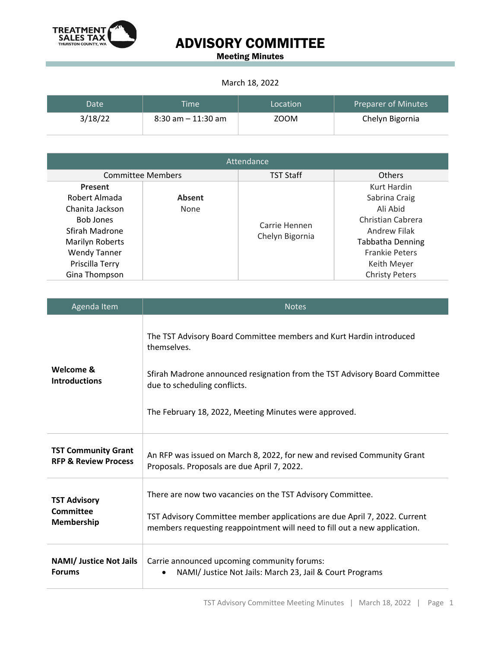

## ADVISORY COMMITTEE

Meeting Minutes

## March 18, 2022

| Date <sup>®</sup> | <b>Time</b>           | Location | <b>Preparer of Minutes</b> |
|-------------------|-----------------------|----------|----------------------------|
| 3/18/22           | $8:30$ am $-11:30$ am | ZOOM     | Chelyn Bigornia            |

| Attendance               |               |                  |                         |  |  |
|--------------------------|---------------|------------------|-------------------------|--|--|
| <b>Committee Members</b> |               | <b>TST Staff</b> | <b>Others</b>           |  |  |
| Present                  |               |                  | Kurt Hardin             |  |  |
| Robert Almada            | <b>Absent</b> |                  | Sabrina Craig           |  |  |
| Chanita Jackson          | None          |                  | Ali Abid                |  |  |
| <b>Bob Jones</b>         |               | Carrie Hennen    | Christian Cabrera       |  |  |
| Sfirah Madrone           |               | Chelyn Bigornia  | Andrew Filak            |  |  |
| Marilyn Roberts          |               |                  | <b>Tabbatha Denning</b> |  |  |
| <b>Wendy Tanner</b>      |               |                  | <b>Frankie Peters</b>   |  |  |
| Priscilla Terry          |               |                  | Keith Meyer             |  |  |
| Gina Thompson            |               |                  | <b>Christy Peters</b>   |  |  |

| Agenda Item                                                   | <b>Notes</b>                                                                                                                                                                                                                                              |  |
|---------------------------------------------------------------|-----------------------------------------------------------------------------------------------------------------------------------------------------------------------------------------------------------------------------------------------------------|--|
| Welcome &<br><b>Introductions</b>                             | The TST Advisory Board Committee members and Kurt Hardin introduced<br>themselves.<br>Sfirah Madrone announced resignation from the TST Advisory Board Committee<br>due to scheduling conflicts.<br>The February 18, 2022, Meeting Minutes were approved. |  |
| <b>TST Community Grant</b><br><b>RFP &amp; Review Process</b> | An RFP was issued on March 8, 2022, for new and revised Community Grant<br>Proposals. Proposals are due April 7, 2022.                                                                                                                                    |  |
| <b>TST Advisory</b><br>Committee<br>Membership                | There are now two vacancies on the TST Advisory Committee.<br>TST Advisory Committee member applications are due April 7, 2022. Current<br>members requesting reappointment will need to fill out a new application.                                      |  |
| <b>NAMI/ Justice Not Jails</b><br><b>Forums</b>               | Carrie announced upcoming community forums:<br>NAMI/ Justice Not Jails: March 23, Jail & Court Programs<br>$\bullet$                                                                                                                                      |  |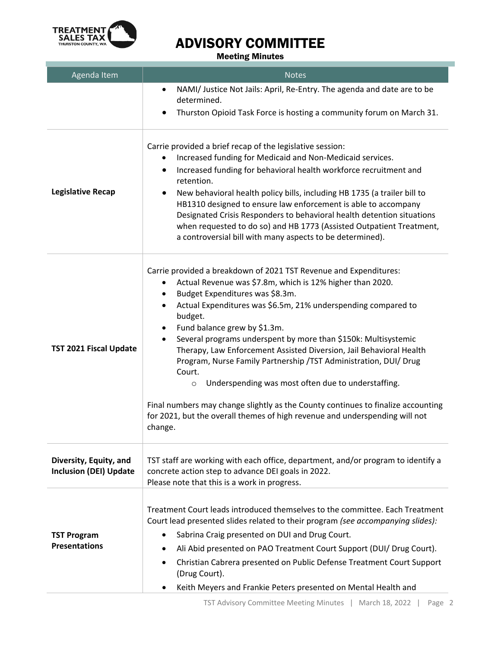

## ADVISORY COMMITTEE

Meeting Minutes

| Agenda Item                                             | <b>Notes</b>                                                                                                                                                                                                                                                                                                                                                                                                                                                                                                                                                                                                                                                                                                                                                                             |  |
|---------------------------------------------------------|------------------------------------------------------------------------------------------------------------------------------------------------------------------------------------------------------------------------------------------------------------------------------------------------------------------------------------------------------------------------------------------------------------------------------------------------------------------------------------------------------------------------------------------------------------------------------------------------------------------------------------------------------------------------------------------------------------------------------------------------------------------------------------------|--|
|                                                         | NAMI/ Justice Not Jails: April, Re-Entry. The agenda and date are to be<br>$\bullet$<br>determined.<br>Thurston Opioid Task Force is hosting a community forum on March 31.<br>٠                                                                                                                                                                                                                                                                                                                                                                                                                                                                                                                                                                                                         |  |
| <b>Legislative Recap</b>                                | Carrie provided a brief recap of the legislative session:<br>Increased funding for Medicaid and Non-Medicaid services.<br>٠<br>Increased funding for behavioral health workforce recruitment and<br>$\bullet$<br>retention.<br>New behavioral health policy bills, including HB 1735 (a trailer bill to<br>HB1310 designed to ensure law enforcement is able to accompany<br>Designated Crisis Responders to behavioral health detention situations<br>when requested to do so) and HB 1773 (Assisted Outpatient Treatment,<br>a controversial bill with many aspects to be determined).                                                                                                                                                                                                 |  |
| <b>TST 2021 Fiscal Update</b>                           | Carrie provided a breakdown of 2021 TST Revenue and Expenditures:<br>Actual Revenue was \$7.8m, which is 12% higher than 2020.<br>Budget Expenditures was \$8.3m.<br>٠<br>Actual Expenditures was \$6.5m, 21% underspending compared to<br>$\bullet$<br>budget.<br>Fund balance grew by \$1.3m.<br>٠<br>Several programs underspent by more than \$150k: Multisystemic<br>$\bullet$<br>Therapy, Law Enforcement Assisted Diversion, Jail Behavioral Health<br>Program, Nurse Family Partnership / TST Administration, DUI/ Drug<br>Court.<br>Underspending was most often due to understaffing.<br>$\circ$<br>Final numbers may change slightly as the County continues to finalize accounting<br>for 2021, but the overall themes of high revenue and underspending will not<br>change. |  |
| Diversity, Equity, and<br><b>Inclusion (DEI) Update</b> | TST staff are working with each office, department, and/or program to identify a<br>concrete action step to advance DEI goals in 2022.<br>Please note that this is a work in progress.                                                                                                                                                                                                                                                                                                                                                                                                                                                                                                                                                                                                   |  |
| <b>TST Program</b><br><b>Presentations</b>              | Treatment Court leads introduced themselves to the committee. Each Treatment<br>Court lead presented slides related to their program (see accompanying slides):<br>Sabrina Craig presented on DUI and Drug Court.<br>٠<br>Ali Abid presented on PAO Treatment Court Support (DUI/ Drug Court).<br>٠<br>Christian Cabrera presented on Public Defense Treatment Court Support<br>$\bullet$<br>(Drug Court).<br>Keith Meyers and Frankie Peters presented on Mental Health and<br>٠                                                                                                                                                                                                                                                                                                        |  |